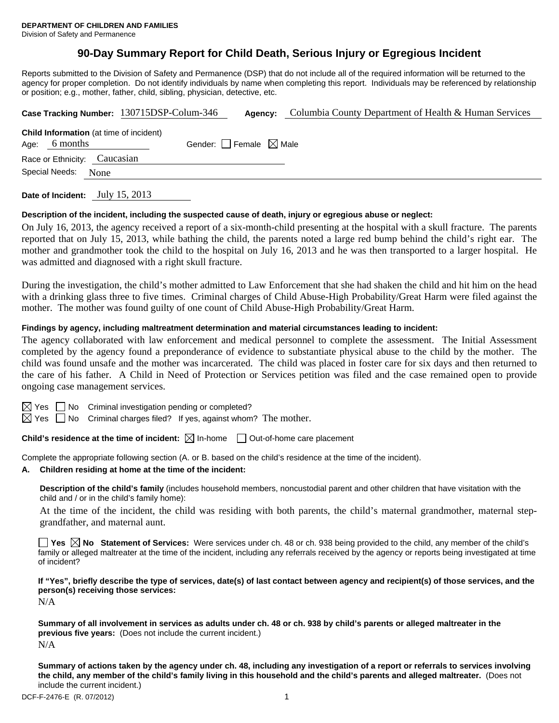## **90-Day Summary Report for Child Death, Serious Injury or Egregious Incident**

Reports submitted to the Division of Safety and Permanence (DSP) that do not include all of the required information will be returned to the agency for proper completion. Do not identify individuals by name when completing this report. Individuals may be referenced by relationship or position; e.g., mother, father, child, sibling, physician, detective, etc.

|                        |                                                            | Case Tracking Number: 130715DSP-Colum-346 | Agency:                         | Columbia County Department of Health & Human Services |  |  |
|------------------------|------------------------------------------------------------|-------------------------------------------|---------------------------------|-------------------------------------------------------|--|--|
| Age:                   | <b>Child Information</b> (at time of incident)<br>6 months |                                           | Gender: Female $\boxtimes$ Male |                                                       |  |  |
|                        | Race or Ethnicity: Caucasian                               |                                           |                                 |                                                       |  |  |
| Special Needs:<br>None |                                                            |                                           |                                 |                                                       |  |  |
|                        |                                                            |                                           |                                 |                                                       |  |  |

**Date of Incident:** July 15, 2013

#### **Description of the incident, including the suspected cause of death, injury or egregious abuse or neglect:**

On July 16, 2013, the agency received a report of a six-month-child presenting at the hospital with a skull fracture. The parents reported that on July 15, 2013, while bathing the child, the parents noted a large red bump behind the child's right ear. The mother and grandmother took the child to the hospital on July 16, 2013 and he was then transported to a larger hospital. He was admitted and diagnosed with a right skull fracture.

During the investigation, the child's mother admitted to Law Enforcement that she had shaken the child and hit him on the head with a drinking glass three to five times. Criminal charges of Child Abuse-High Probability/Great Harm were filed against the mother. The mother was found guilty of one count of Child Abuse-High Probability/Great Harm.

#### **Findings by agency, including maltreatment determination and material circumstances leading to incident:**

The agency collaborated with law enforcement and medical personnel to complete the assessment. The Initial Assessment completed by the agency found a preponderance of evidence to substantiate physical abuse to the child by the mother. The child was found unsafe and the mother was incarcerated. The child was placed in foster care for six days and then returned to the care of his father. A Child in Need of Protection or Services petition was filed and the case remained open to provide ongoing case management services.

 $\boxtimes$  Yes  $\Box$  No Criminal investigation pending or completed?

 $\boxtimes$  Yes  $\Box$  No Criminal charges filed? If yes, against whom? The mother.

**Child's residence at the time of incident:**  $\boxtimes$  In-home  $\Box$  Out-of-home care placement

Complete the appropriate following section (A. or B. based on the child's residence at the time of the incident).

#### **A. Children residing at home at the time of the incident:**

**Description of the child's family** (includes household members, noncustodial parent and other children that have visitation with the child and / or in the child's family home):

 At the time of the incident, the child was residing with both parents, the child's maternal grandmother, maternal stepgrandfather, and maternal aunt.

**Yes No** Statement of Services: Were services under ch. 48 or ch. 938 being provided to the child, any member of the child's family or alleged maltreater at the time of the incident, including any referrals received by the agency or reports being investigated at time of incident?

**If "Yes", briefly describe the type of services, date(s) of last contact between agency and recipient(s) of those services, and the person(s) receiving those services:** 

N/A

**Summary of all involvement in services as adults under ch. 48 or ch. 938 by child's parents or alleged maltreater in the previous five years:** (Does not include the current incident.) N/A

**Summary of actions taken by the agency under ch. 48, including any investigation of a report or referrals to services involving the child, any member of the child's family living in this household and the child's parents and alleged maltreater.** (Does not include the current incident.)